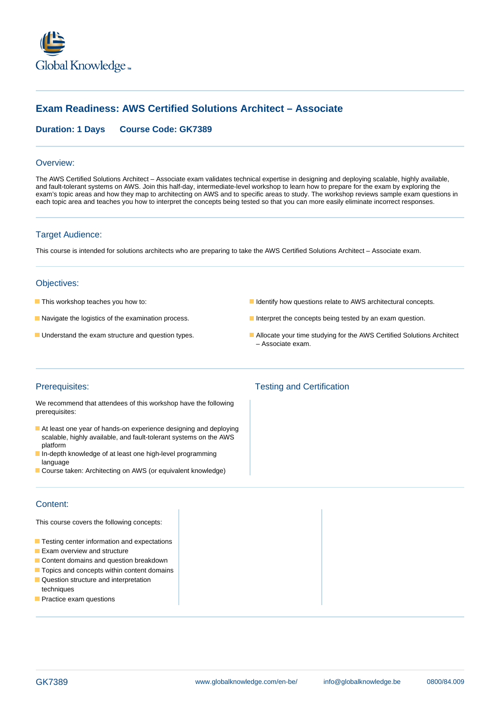

# **Exam Readiness: AWS Certified Solutions Architect – Associate**

## **Duration: 1 Days Course Code: GK7389**

#### Overview:

The AWS Certified Solutions Architect – Associate exam validates technical expertise in designing and deploying scalable, highly available, and fault-tolerant systems on AWS. Join this half-day, intermediate-level workshop to learn how to prepare for the exam by exploring the exam's topic areas and how they map to architecting on AWS and to specific areas to study. The workshop reviews sample exam questions in each topic area and teaches you how to interpret the concepts being tested so that you can more easily eliminate incorrect responses.

## Target Audience:

This course is intended for solutions architects who are preparing to take the AWS Certified Solutions Architect – Associate exam.

### Objectives:

- 
- 
- 
- **This workshop teaches you how to:** I dentify how questions relate to AWS architectural concepts.
- Navigate the logistics of the examination process. Interpret the concepts being tested by an exam question.
- **Understand the exam structure and question types.** Allocate your time studying for the AWS Certified Solutions Architect – Associate exam.

We recommend that attendees of this workshop have the following prerequisites:

- At least one year of hands-on experience designing and deploying scalable, highly available, and fault-tolerant systems on the AWS platform
- In-depth knowledge of at least one high-level programming language
- Course taken: Architecting on AWS (or equivalent knowledge)

## Content:

This course covers the following concepts:

- **Testing center information and expectations**
- **Exam overview and structure**
- Content domains and question breakdown
- **T** Topics and concepts within content domains
- **Question structure and interpretation** techniques
- **Practice exam questions**

# Prerequisites: Testing and Certification